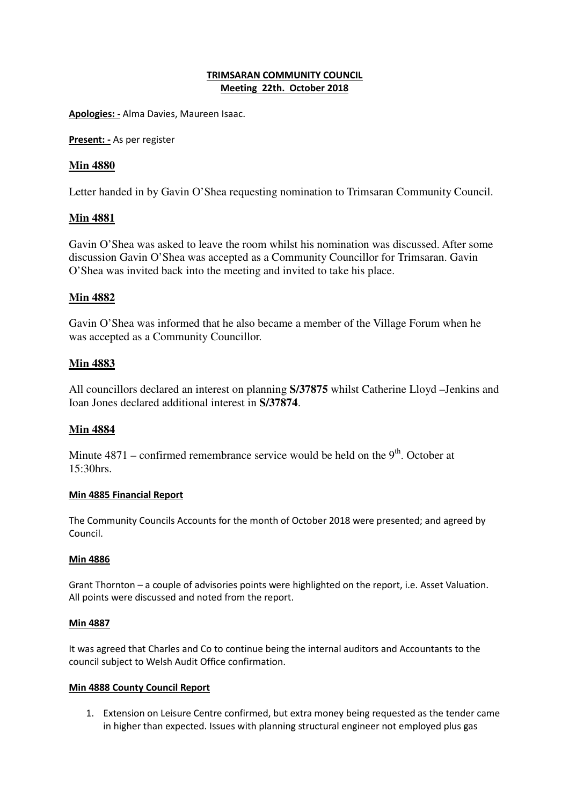### **TRIMSARAN COMMUNITY COUNCIL Meeting 22th. October 2018**

**Apologies: -** Alma Davies, Maureen Isaac.

**Present: -** As per register

## **Min 4880**

Letter handed in by Gavin O'Shea requesting nomination to Trimsaran Community Council.

## **Min 4881**

Gavin O'Shea was asked to leave the room whilst his nomination was discussed. After some discussion Gavin O'Shea was accepted as a Community Councillor for Trimsaran. Gavin O'Shea was invited back into the meeting and invited to take his place.

# **Min 4882**

Gavin O'Shea was informed that he also became a member of the Village Forum when he was accepted as a Community Councillor.

## **Min 4883**

All councillors declared an interest on planning **S/37875** whilst Catherine Lloyd –Jenkins and Ioan Jones declared additional interest in **S/37874**.

## **Min 4884**

Minute  $4871$  – confirmed remembrance service would be held on the  $9<sup>th</sup>$ . October at 15:30hrs.

#### **Min 4885 Financial Report**

The Community Councils Accounts for the month of October 2018 were presented; and agreed by Council.

## **Min 4886**

Grant Thornton – a couple of advisories points were highlighted on the report, i.e. Asset Valuation. All points were discussed and noted from the report.

#### **Min 4887**

It was agreed that Charles and Co to continue being the internal auditors and Accountants to the council subject to Welsh Audit Office confirmation.

#### **Min 4888 County Council Report**

1. Extension on Leisure Centre confirmed, but extra money being requested as the tender came in higher than expected. Issues with planning structural engineer not employed plus gas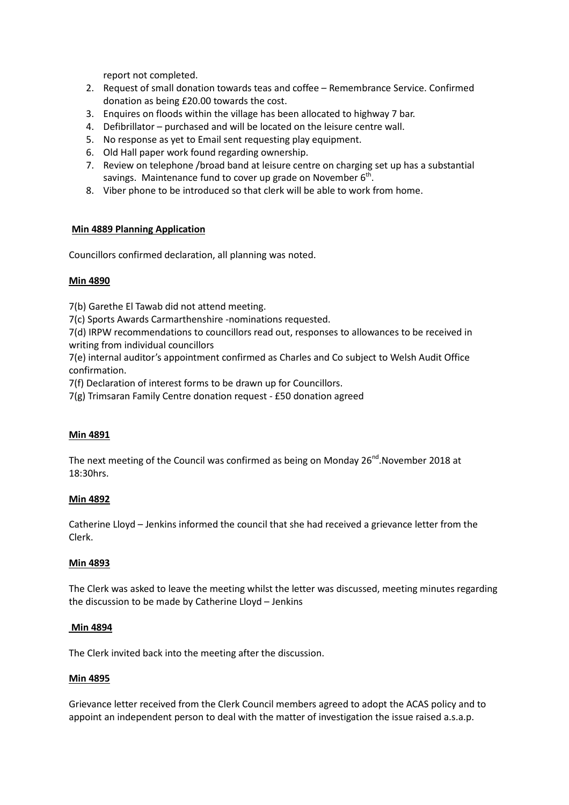report not completed.

- 2. Request of small donation towards teas and coffee Remembrance Service. Confirmed donation as being £20.00 towards the cost.
- 3. Enquires on floods within the village has been allocated to highway 7 bar.
- 4. Defibrillator purchased and will be located on the leisure centre wall.
- 5. No response as yet to Email sent requesting play equipment.
- 6. Old Hall paper work found regarding ownership.
- 7. Review on telephone /broad band at leisure centre on charging set up has a substantial savings. Maintenance fund to cover up grade on November  $6<sup>th</sup>$ .
- 8. Viber phone to be introduced so that clerk will be able to work from home.

## **Min 4889 Planning Application**

Councillors confirmed declaration, all planning was noted.

### **Min 4890**

7(b) Garethe El Tawab did not attend meeting.

7(c) Sports Awards Carmarthenshire -nominations requested.

7(d) IRPW recommendations to councillors read out, responses to allowances to be received in writing from individual councillors

7(e) internal auditor's appointment confirmed as Charles and Co subject to Welsh Audit Office confirmation.

7(f) Declaration of interest forms to be drawn up for Councillors.

7(g) Trimsaran Family Centre donation request - £50 donation agreed

## **Min 4891**

The next meeting of the Council was confirmed as being on Monday  $26^{nd}$ . November 2018 at 18:30hrs.

#### **Min 4892**

Catherine Lloyd – Jenkins informed the council that she had received a grievance letter from the Clerk.

#### **Min 4893**

The Clerk was asked to leave the meeting whilst the letter was discussed, meeting minutes regarding the discussion to be made by Catherine Lloyd – Jenkins

#### **Min 4894**

The Clerk invited back into the meeting after the discussion.

#### **Min 4895**

Grievance letter received from the Clerk Council members agreed to adopt the ACAS policy and to appoint an independent person to deal with the matter of investigation the issue raised a.s.a.p.